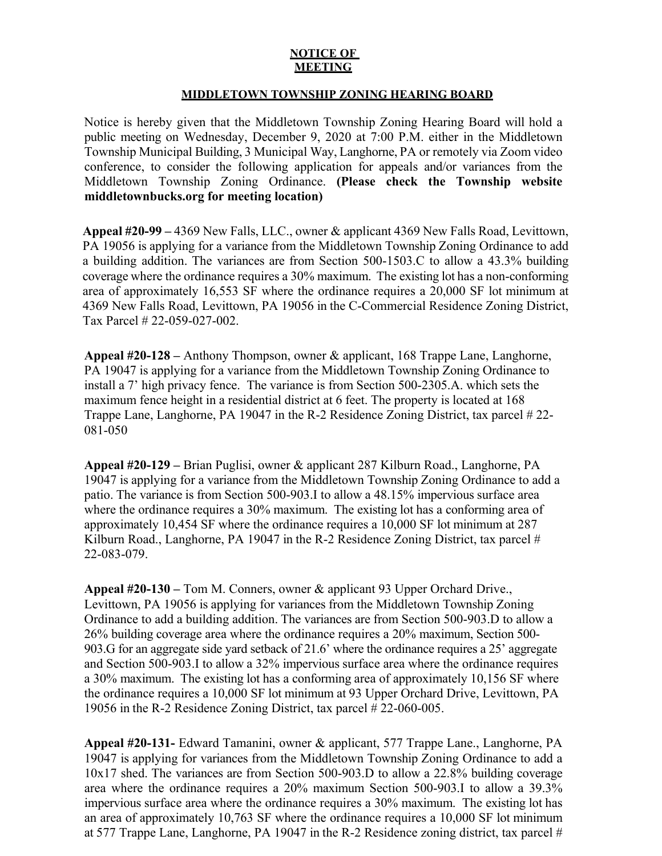## **NOTICE OF MEETING**

## **MIDDLETOWN TOWNSHIP ZONING HEARING BOARD**

Notice is hereby given that the Middletown Township Zoning Hearing Board will hold a public meeting on Wednesday, December 9, 2020 at 7:00 P.M. either in the Middletown Township Municipal Building, 3 Municipal Way, Langhorne, PA or remotely via Zoom video conference, to consider the following application for appeals and/or variances from the Middletown Township Zoning Ordinance. **(Please check the Township website middletownbucks.org for meeting location)** 

**Appeal #20-99 –** 4369 New Falls, LLC., owner & applicant 4369 New Falls Road, Levittown, PA 19056 is applying for a variance from the Middletown Township Zoning Ordinance to add a building addition. The variances are from Section 500-1503.C to allow a 43.3% building coverage where the ordinance requires a 30% maximum. The existing lot has a non-conforming area of approximately 16,553 SF where the ordinance requires a 20,000 SF lot minimum at 4369 New Falls Road, Levittown, PA 19056 in the C-Commercial Residence Zoning District, Tax Parcel # 22-059-027-002.

**Appeal #20-128 –** Anthony Thompson, owner & applicant, 168 Trappe Lane, Langhorne, PA 19047 is applying for a variance from the Middletown Township Zoning Ordinance to install a 7' high privacy fence. The variance is from Section 500-2305.A. which sets the maximum fence height in a residential district at 6 feet. The property is located at 168 Trappe Lane, Langhorne, PA 19047 in the R-2 Residence Zoning District, tax parcel # 22- 081-050

**Appeal #20-129 –** Brian Puglisi, owner & applicant 287 Kilburn Road., Langhorne, PA 19047 is applying for a variance from the Middletown Township Zoning Ordinance to add a patio. The variance is from Section 500-903.I to allow a 48.15% impervious surface area where the ordinance requires a 30% maximum. The existing lot has a conforming area of approximately 10,454 SF where the ordinance requires a 10,000 SF lot minimum at 287 Kilburn Road., Langhorne, PA 19047 in the R-2 Residence Zoning District, tax parcel # 22-083-079.

**Appeal #20-130 –** Tom M. Conners, owner & applicant 93 Upper Orchard Drive., Levittown, PA 19056 is applying for variances from the Middletown Township Zoning Ordinance to add a building addition. The variances are from Section 500-903.D to allow a 26% building coverage area where the ordinance requires a 20% maximum, Section 500- 903.G for an aggregate side yard setback of 21.6' where the ordinance requires a 25' aggregate and Section 500-903.I to allow a 32% impervious surface area where the ordinance requires a 30% maximum. The existing lot has a conforming area of approximately 10,156 SF where the ordinance requires a 10,000 SF lot minimum at 93 Upper Orchard Drive, Levittown, PA 19056 in the R-2 Residence Zoning District, tax parcel # 22-060-005.

**Appeal #20-131-** Edward Tamanini, owner & applicant, 577 Trappe Lane., Langhorne, PA 19047 is applying for variances from the Middletown Township Zoning Ordinance to add a 10x17 shed. The variances are from Section 500-903.D to allow a 22.8% building coverage area where the ordinance requires a 20% maximum Section 500-903.I to allow a 39.3% impervious surface area where the ordinance requires a 30% maximum. The existing lot has an area of approximately 10,763 SF where the ordinance requires a 10,000 SF lot minimum at 577 Trappe Lane, Langhorne, PA 19047 in the R-2 Residence zoning district, tax parcel  $#$